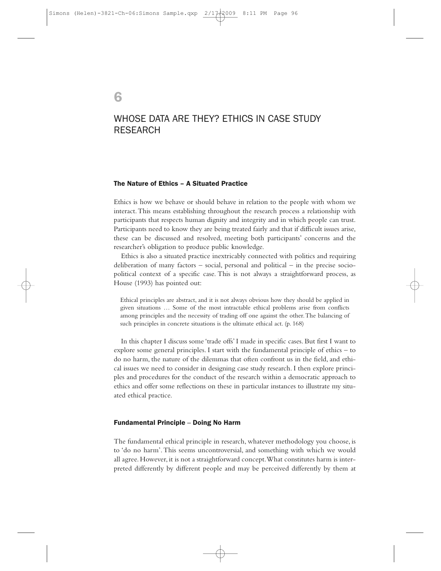6

# WHOSE DATA ARE THEY? ETHICS IN CASE STUDY RESEARCH

## The Nature of Ethics – A Situated Practice

Ethics is how we behave or should behave in relation to the people with whom we interact.This means establishing throughout the research process a relationship with participants that respects human dignity and integrity and in which people can trust. Participants need to know they are being treated fairly and that if difficult issues arise, these can be discussed and resolved, meeting both participants' concerns and the researcher's obligation to produce public knowledge.

Ethics is also a situated practice inextricably connected with politics and requiring deliberation of many factors – social, personal and political – in the precise sociopolitical context of a specific case. This is not always a straightforward process, as House (1993) has pointed out:

Ethical principles are abstract, and it is not always obvious how they should be applied in given situations … Some of the most intractable ethical problems arise from conflicts among principles and the necessity of trading off one against the other.The balancing of such principles in concrete situations is the ultimate ethical act. (p. 168)

In this chapter I discuss some 'trade offs' I made in specific cases. But first I want to explore some general principles. I start with the fundamental principle of ethics – to do no harm, the nature of the dilemmas that often confront us in the field, and ethical issues we need to consider in designing case study research. I then explore principles and procedures for the conduct of the research within a democratic approach to ethics and offer some reflections on these in particular instances to illustrate my situated ethical practice.

### Fundamental Principle – Doing No Harm

The fundamental ethical principle in research, whatever methodology you choose, is to 'do no harm'.This seems uncontroversial, and something with which we would all agree. However, it is not a straightforward concept.What constitutes harm is interpreted differently by different people and may be perceived differently by them at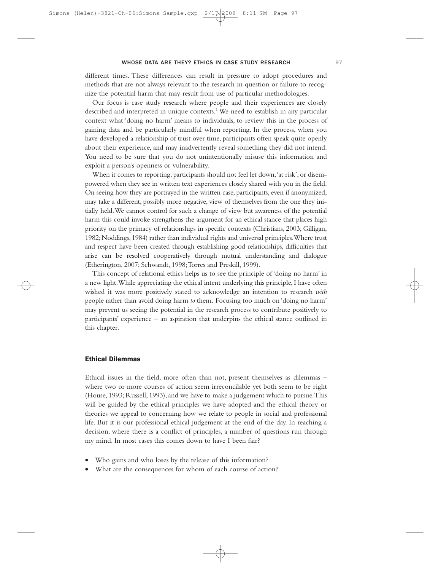different times. These differences can result in pressure to adopt procedures and methods that are not always relevant to the research in question or failure to recognize the potential harm that may result from use of particular methodologies.

Our focus is case study research where people and their experiences are closely described and interpreted in unique contexts.<sup>1</sup> We need to establish in any particular context what 'doing no harm' means to individuals, to review this in the process of gaining data and be particularly mindful when reporting. In the process, when you have developed a relationship of trust over time, participants often speak quite openly about their experience, and may inadvertently reveal something they did not intend. You need to be sure that you do not unintentionally misuse this information and exploit a person's openness or vulnerability.

When it comes to reporting, participants should not feel let down,'at risk', or disempowered when they see in written text experiences closely shared with you in the field. On seeing how they are portrayed in the written case, participants, even if anonymized, may take a different, possibly more negative, view of themselves from the one they initially held.We cannot control for such a change of view but awareness of the potential harm this could invoke strengthens the argument for an ethical stance that places high priority on the primacy of relationships in specific contexts (Christians, 2003; Gilligan, 1982;Noddings,1984) rather than individual rights and universal principles.Where trust and respect have been created through establishing good relationships, difficulties that arise can be resolved cooperatively through mutual understanding and dialogue (Etherington, 2007; Schwandt, 1998; Torres and Preskill, 1999).

This concept of relational ethics helps us to see the principle of 'doing no harm' in a new light.While appreciating the ethical intent underlying this principle, I have often wished it was more positively stated to acknowledge an intention to research *with* people rather than avoid doing harm *to* them*.* Focusing too much on 'doing no harm' may prevent us seeing the potential in the research process to contribute positively to participants' experience – an aspiration that underpins the ethical stance outlined in this chapter.

#### Ethical Dilemmas

Ethical issues in the field, more often than not, present themselves as dilemmas – where two or more courses of action seem irreconcilable yet both seem to be right (House, 1993; Russell, 1993), and we have to make a judgement which to pursue.This will be guided by the ethical principles we have adopted and the ethical theory or theories we appeal to concerning how we relate to people in social and professional life. But it is our professional ethical judgement at the end of the day. In reaching a decision, where there is a conflict of principles, a number of questions run through my mind. In most cases this comes down to have I been fair?

- Who gains and who loses by the release of this information?
- What are the consequences for whom of each course of action?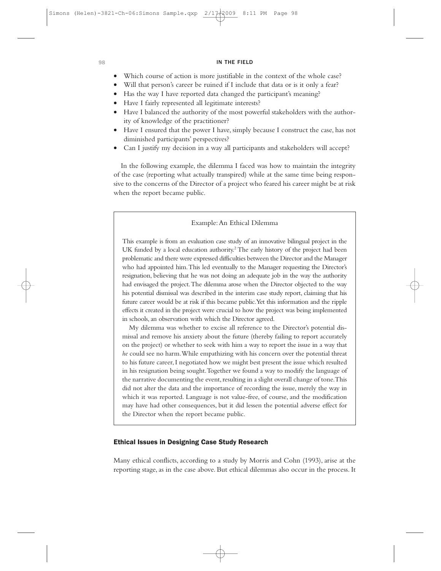- Which course of action is more justifiable in the context of the whole case?
- Will that person's career be ruined if I include that data or is it only a fear?
- Has the way I have reported data changed the participant's meaning?
- Have I fairly represented all legitimate interests?
- Have I balanced the authority of the most powerful stakeholders with the authority of knowledge of the practitioner?
- Have I ensured that the power I have, simply because I construct the case, has not diminished participants' perspectives?
- Can I justify my decision in a way all participants and stakeholders will accept?

In the following example, the dilemma I faced was how to maintain the integrity of the case (reporting what actually transpired) while at the same time being responsive to the concerns of the Director of a project who feared his career might be at risk when the report became public.

#### Example:An Ethical Dilemma

This example is from an evaluation case study of an innovative bilingual project in the UK funded by a local education authority.<sup>2</sup> The early history of the project had been problematic and there were expressed difficulties between the Director and the Manager who had appointed him.This led eventually to the Manager requesting the Director's resignation, believing that he was not doing an adequate job in the way the authority had envisaged the project.The dilemma arose when the Director objected to the way his potential dismissal was described in the interim case study report, claiming that his future career would be at risk if this became public.Yet this information and the ripple effects it created in the project were crucial to how the project was being implemented in schools, an observation with which the Director agreed.

My dilemma was whether to excise all reference to the Director's potential dismissal and remove his anxiety about the future (thereby failing to report accurately on the project) or whether to seek with him a way to report the issue in a way that *he* could see no harm.While empathizing with his concern over the potential threat to his future career, I negotiated how we might best present the issue which resulted in his resignation being sought.Together we found a way to modify the language of the narrative documenting the event, resulting in a slight overall change of tone. This did not alter the data and the importance of recording the issue, merely the way in which it was reported. Language is not value-free, of course, and the modification may have had other consequences, but it did lessen the potential adverse effect for the Director when the report became public.

## Ethical Issues in Designing Case Study Research

Many ethical conflicts, according to a study by Morris and Cohn (1993), arise at the reporting stage, as in the case above. But ethical dilemmas also occur in the process. It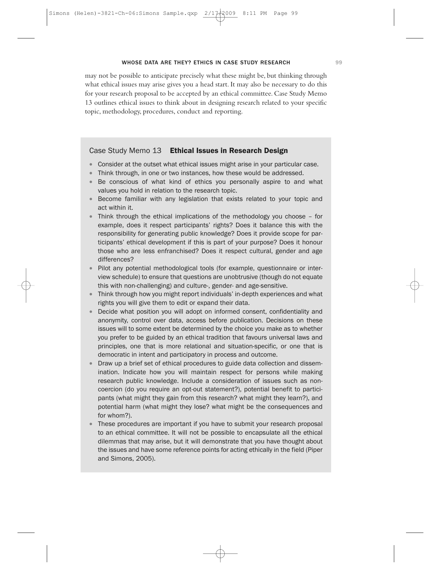may not be possible to anticipate precisely what these might be, but thinking through what ethical issues may arise gives you a head start. It may also be necessary to do this for your research proposal to be accepted by an ethical committee. Case Study Memo 13 outlines ethical issues to think about in designing research related to your specific topic, methodology, procedures, conduct and reporting.

#### Case Study Memo 13 Ethical Issues in Research Design

- Consider at the outset what ethical issues might arise in your particular case.
- Think through, in one or two instances, how these would be addressed.
- Be conscious of what kind of ethics you personally aspire to and what values you hold in relation to the research topic.
- Become familiar with any legislation that exists related to your topic and act within it.
- Think through the ethical implications of the methodology you choose for example, does it respect participants' rights? Does it balance this with the responsibility for generating public knowledge? Does it provide scope for participants' ethical development if this is part of your purpose? Does it honour those who are less enfranchised? Does it respect cultural, gender and age differences?
- Pilot any potential methodological tools (for example, questionnaire or interview schedule) to ensure that questions are unobtrusive (though do not equate this with non-challenging) and culture-, gender- and age-sensitive.
- Think through how you might report individuals' in-depth experiences and what rights you will give them to edit or expand their data.
- Decide what position you will adopt on informed consent, confidentiality and anonymity, control over data, access before publication. Decisions on these issues will to some extent be determined by the choice you make as to whether you prefer to be guided by an ethical tradition that favours universal laws and principles, one that is more relational and situation-specific, or one that is democratic in intent and participatory in process and outcome.
- Draw up a brief set of ethical procedures to guide data collection and dissemination. Indicate how you will maintain respect for persons while making research public knowledge. Include a consideration of issues such as noncoercion (do you require an opt-out statement?), potential benefit to participants (what might they gain from this research? what might they learn?), and potential harm (what might they lose? what might be the consequences and for whom?).
- These procedures are important if you have to submit your research proposal to an ethical committee. It will not be possible to encapsulate all the ethical dilemmas that may arise, but it will demonstrate that you have thought about the issues and have some reference points for acting ethically in the field (Piper and Simons, 2005).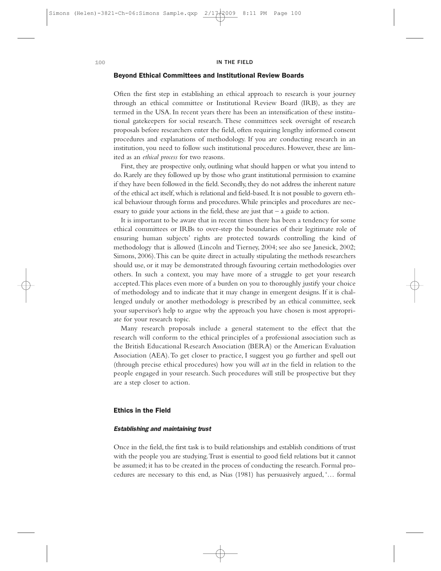#### Beyond Ethical Committees and Institutional Review Boards

Often the first step in establishing an ethical approach to research is your journey through an ethical committee or Institutional Review Board (IRB), as they are termed in the USA. In recent years there has been an intensification of these institutional gatekeepers for social research. These committees seek oversight of research proposals before researchers enter the field, often requiring lengthy informed consent procedures and explanations of methodology. If you are conducting research in an institution, you need to follow such institutional procedures. However, these are limited as an *ethical process* for two reasons.

First, they are prospective only, outlining what should happen or what you intend to do. Rarely are they followed up by those who grant institutional permission to examine if they have been followed in the field. Secondly, they do not address the inherent nature of the ethical act itself,which is relational and field-based.It is not possible to govern ethical behaviour through forms and procedures.While principles and procedures are necessary to guide your actions in the field, these are just that – a guide to action.

It is important to be aware that in recent times there has been a tendency for some ethical committees or IRBs to over-step the boundaries of their legitimate role of ensuring human subjects' rights are protected towards controlling the kind of methodology that is allowed (Lincoln and Tierney, 2004; see also see Janesick, 2002; Simons, 2006).This can be quite direct in actually stipulating the methods researchers should use, or it may be demonstrated through favouring certain methodologies over others. In such a context, you may have more of a struggle to get your research accepted.This places even more of a burden on you to thoroughly justify your choice of methodology and to indicate that it may change in emergent designs. If it is challenged unduly or another methodology is prescribed by an ethical committee, seek your supervisor's help to argue why the approach you have chosen is most appropriate for your research topic.

Many research proposals include a general statement to the effect that the research will conform to the ethical principles of a professional association such as the British Educational Research Association (BERA) or the American Evaluation Association (AEA).To get closer to practice, I suggest you go further and spell out (through precise ethical procedures) how you will *act* in the field in relation to the people engaged in your research. Such procedures will still be prospective but they are a step closer to action.

#### Ethics in the Field

### Establishing and maintaining trust

Once in the field, the first task is to build relationships and establish conditions of trust with the people you are studying.Trust is essential to good field relations but it cannot be assumed; it has to be created in the process of conducting the research. Formal procedures are necessary to this end, as Nias (1981) has persuasively argued, '… formal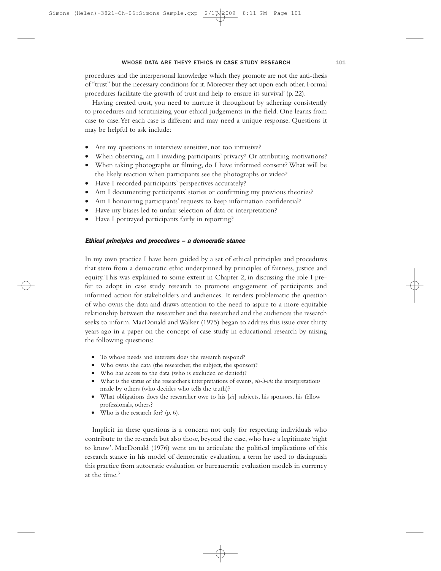procedures and the interpersonal knowledge which they promote are not the anti-thesis of "trust" but the necessary conditions for it. Moreover they act upon each other. Formal procedures facilitate the growth of trust and help to ensure its survival' (p. 22).

Having created trust, you need to nurture it throughout by adhering consistently to procedures and scrutinizing your ethical judgements in the field. One learns from case to case.Yet each case is different and may need a unique response. Questions it may be helpful to ask include:

- Are my questions in interview sensitive, not too intrusive?
- When observing, am I invading participants' privacy? Or attributing motivations?
- When taking photographs or filming, do I have informed consent? What will be the likely reaction when participants see the photographs or video?
- Have I recorded participants' perspectives accurately?
- Am I documenting participants' stories or confirming my previous theories?
- Am I honouring participants' requests to keep information confidential?
- Have my biases led to unfair selection of data or interpretation?
- Have I portrayed participants fairly in reporting?

#### Ethical principles and procedures – <sup>a</sup> democratic stance

In my own practice I have been guided by a set of ethical principles and procedures that stem from a democratic ethic underpinned by principles of fairness, justice and equity.This was explained to some extent in Chapter 2, in discussing the role I prefer to adopt in case study research to promote engagement of participants and informed action for stakeholders and audiences. It renders problematic the question of who owns the data and draws attention to the need to aspire to a more equitable relationship between the researcher and the researched and the audiences the research seeks to inform. MacDonald and Walker (1975) began to address this issue over thirty years ago in a paper on the concept of case study in educational research by raising the following questions:

- To whose needs and interests does the research respond?
- Who owns the data (the researcher, the subject, the sponsor)?
- Who has access to the data (who is excluded or denied)?
- What is the status of the researcher's interpretations of events, *vis-à-vis* the interpretations made by others (who decides who tells the truth)?
- What obligations does the researcher owe to his [*sic*] subjects, his sponsors, his fellow professionals, others?
- Who is the research for? (p. 6).

Implicit in these questions is a concern not only for respecting individuals who contribute to the research but also those, beyond the case, who have a legitimate 'right to know'. MacDonald (1976) went on to articulate the political implications of this research stance in his model of democratic evaluation, a term he used to distinguish this practice from autocratic evaluation or bureaucratic evaluation models in currency at the time. $3$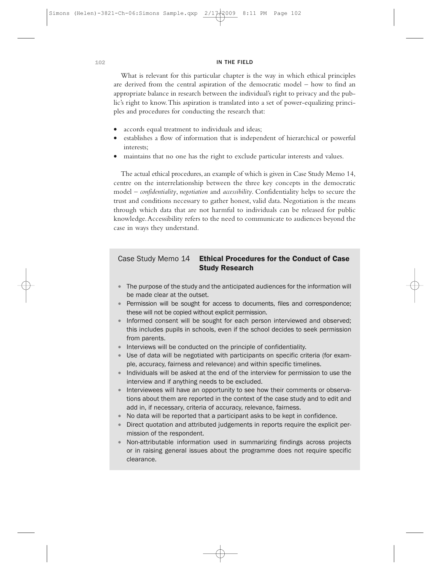What is relevant for this particular chapter is the way in which ethical principles are derived from the central aspiration of the democratic model – how to find an appropriate balance in research between the individual's right to privacy and the public's right to know.This aspiration is translated into a set of power-equalizing principles and procedures for conducting the research that:

- accords equal treatment to individuals and ideas;
- establishes a flow of information that is independent of hierarchical or powerful interests;
- maintains that no one has the right to exclude particular interests and values.

The actual ethical procedures, an example of which is given in Case Study Memo 14, centre on the interrelationship between the three key concepts in the democratic model – *confidentiality*, *negotiation* and *accessibility*. Confidentiality helps to secure the trust and conditions necessary to gather honest, valid data. Negotiation is the means through which data that are not harmful to individuals can be released for public knowledge.Accessibility refers to the need to communicate to audiences beyond the case in ways they understand.

## Case Study Memo 14 Ethical Procedures for the Conduct of Case Study Research

- The purpose of the study and the anticipated audiences for the information will be made clear at the outset.
- Permission will be sought for access to documents, files and correspondence; these will not be copied without explicit permission.
- Informed consent will be sought for each person interviewed and observed; this includes pupils in schools, even if the school decides to seek permission from parents.
- Interviews will be conducted on the principle of confidentiality.
- Use of data will be negotiated with participants on specific criteria (for example, accuracy, fairness and relevance) and within specific timelines.
- Individuals will be asked at the end of the interview for permission to use the interview and if anything needs to be excluded.
- Interviewees will have an opportunity to see how their comments or observations about them are reported in the context of the case study and to edit and add in, if necessary, criteria of accuracy, relevance, fairness.
- No data will be reported that a participant asks to be kept in confidence.
- Direct quotation and attributed judgements in reports require the explicit permission of the respondent.
- Non-attributable information used in summarizing findings across projects or in raising general issues about the programme does not require specific clearance.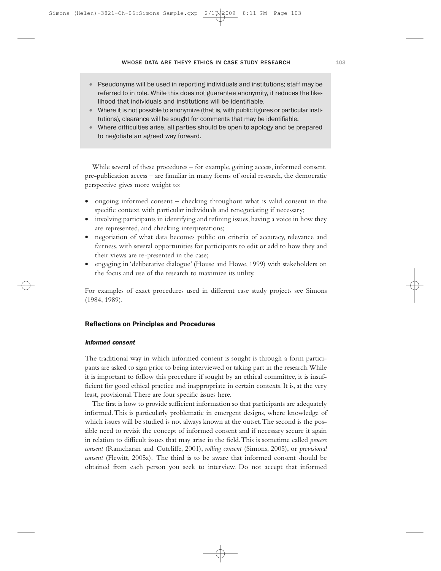- Pseudonyms will be used in reporting individuals and institutions; staff may be referred to in role. While this does not guarantee anonymity, it reduces the likelihood that individuals and institutions will be identifiable.
- Where it is not possible to anonymize (that is, with public figures or particular institutions), clearance will be sought for comments that may be identifiable.
- Where difficulties arise, all parties should be open to apology and be prepared to negotiate an agreed way forward.

While several of these procedures – for example, gaining access, informed consent, pre-publication access – are familiar in many forms of social research, the democratic perspective gives more weight to:

- ongoing informed consent checking throughout what is valid consent in the specific context with particular individuals and renegotiating if necessary;
- involving participants in identifying and refining issues, having a voice in how they are represented, and checking interpretations;
- negotiation of what data becomes public on criteria of accuracy, relevance and fairness, with several opportunities for participants to edit or add to how they and their views are re-presented in the case;
- engaging in 'deliberative dialogue' (House and Howe, 1999) with stakeholders on the focus and use of the research to maximize its utility.

For examples of exact procedures used in different case study projects see Simons (1984, 1989).

#### Reflections on Principles and Procedures

#### Informed consent

The traditional way in which informed consent is sought is through a form participants are asked to sign prior to being interviewed or taking part in the research.While it is important to follow this procedure if sought by an ethical committee, it is insufficient for good ethical practice and inappropriate in certain contexts. It is, at the very least, provisional.There are four specific issues here.

The first is how to provide sufficient information so that participants are adequately informed.This is particularly problematic in emergent designs, where knowledge of which issues will be studied is not always known at the outset.The second is the possible need to revisit the concept of informed consent and if necessary secure it again in relation to difficult issues that may arise in the field.This is sometime called *process consent* (Ramcharan and Cutcliffe, 2001), *rolling consent* (Simons, 2005), or *provisional consent* (Flewitt, 2005a). The third is to be aware that informed consent should be obtained from each person you seek to interview. Do not accept that informed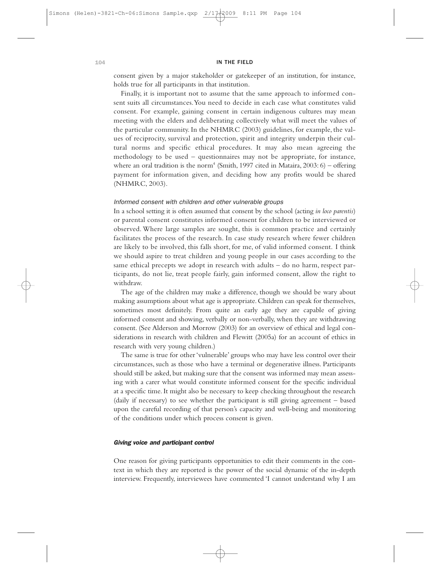consent given by a major stakeholder or gatekeeper of an institution, for instance, holds true for all participants in that institution.

Finally, it is important not to assume that the same approach to informed consent suits all circumstances.You need to decide in each case what constitutes valid consent. For example, gaining consent in certain indigenous cultures may mean meeting with the elders and deliberating collectively what will meet the values of the particular community. In the NHMRC (2003) guidelines, for example, the values of reciprocity, survival and protection, spirit and integrity underpin their cultural norms and specific ethical procedures. It may also mean agreeing the methodology to be used – questionnaires may not be appropriate, for instance, where an oral tradition is the norm<sup>4</sup> (Smith, 1997 cited in Mataira, 2003: 6) - offering payment for information given, and deciding how any profits would be shared (NHMRC, 2003).

#### Informed consent with children and other vulnerable groups

In a school setting it is often assumed that consent by the school (acting *in loco parentis*) or parental consent constitutes informed consent for children to be interviewed or observed. Where large samples are sought, this is common practice and certainly facilitates the process of the research. In case study research where fewer children are likely to be involved, this falls short, for me, of valid informed consent. I think we should aspire to treat children and young people in our cases according to the same ethical precepts we adopt in research with adults – do no harm, respect participants, do not lie, treat people fairly, gain informed consent, allow the right to withdraw.

The age of the children may make a difference, though we should be wary about making assumptions about what age is appropriate. Children can speak for themselves, sometimes most definitely. From quite an early age they are capable of giving informed consent and showing, verbally or non-verbally, when they are withdrawing consent. (See Alderson and Morrow (2003) for an overview of ethical and legal considerations in research with children and Flewitt (2005a) for an account of ethics in research with very young children.)

The same is true for other 'vulnerable' groups who may have less control over their circumstances, such as those who have a terminal or degenerative illness. Participants should still be asked, but making sure that the consent was informed may mean assessing with a carer what would constitute informed consent for the specific individual at a specific time. It might also be necessary to keep checking throughout the research (daily if necessary) to see whether the participant is still giving agreement – based upon the careful recording of that person's capacity and well-being and monitoring of the conditions under which process consent is given.

#### Giving voice and participant control

One reason for giving participants opportunities to edit their comments in the context in which they are reported is the power of the social dynamic of the in-depth interview. Frequently, interviewees have commented 'I cannot understand why I am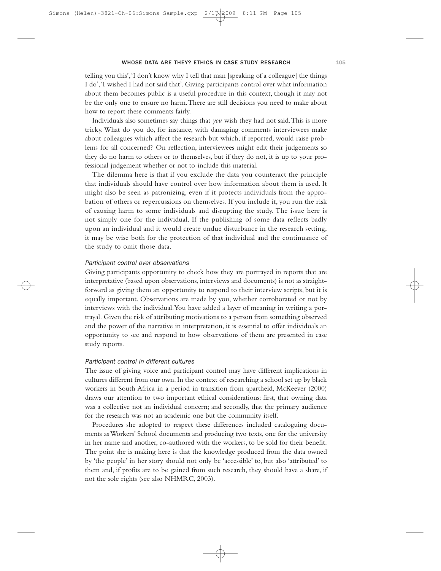telling you this','I don't know why I tell that man [speaking of a colleague] the things I do','I wished I had not said that'. Giving participants control over what information about them becomes public is a useful procedure in this context, though it may not be the only one to ensure no harm.There are still decisions you need to make about how to report these comments fairly.

Individuals also sometimes say things that *you* wish they had not said.This is more tricky. What do you do, for instance, with damaging comments interviewees make about colleagues which affect the research but which, if reported, would raise problems for all concerned? On reflection, interviewees might edit their judgements so they do no harm to others or to themselves, but if they do not, it is up to your professional judgement whether or not to include this material.

The dilemma here is that if you exclude the data you counteract the principle that individuals should have control over how information about them is used. It might also be seen as patronizing, even if it protects individuals from the approbation of others or repercussions on themselves. If you include it, you run the risk of causing harm to some individuals and disrupting the study. The issue here is not simply one for the individual. If the publishing of some data reflects badly upon an individual and it would create undue disturbance in the research setting, it may be wise both for the protection of that individual and the continuance of the study to omit those data.

#### Participant control over observations

Giving participants opportunity to check how they are portrayed in reports that are interpretative (based upon observations, interviews and documents) is not as straightforward as giving them an opportunity to respond to their interview scripts, but it is equally important. Observations are made by you, whether corroborated or not by interviews with the individual.You have added a layer of meaning in writing a portrayal. Given the risk of attributing motivations to a person from something observed and the power of the narrative in interpretation, it is essential to offer individuals an opportunity to see and respond to how observations of them are presented in case study reports.

#### Participant control in different cultures

The issue of giving voice and participant control may have different implications in cultures different from our own. In the context of researching a school set up by black workers in South Africa in a period in transition from apartheid, McKeever (2000) draws our attention to two important ethical considerations: first, that owning data was a collective not an individual concern; and secondly, that the primary audience for the research was not an academic one but the community itself.

Procedures she adopted to respect these differences included cataloguing documents as Workers' School documents and producing two texts, one for the university in her name and another, co-authored with the workers, to be sold for their benefit. The point she is making here is that the knowledge produced from the data owned by 'the people' in her story should not only be 'accessible' to, but also 'attributed' to them and, if profits are to be gained from such research, they should have a share, if not the sole rights (see also NHMRC, 2003).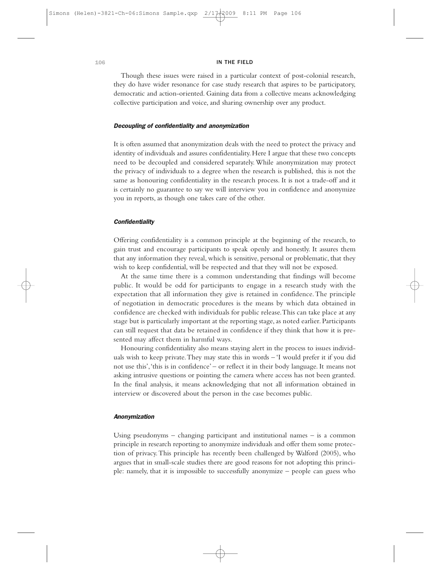Though these issues were raised in a particular context of post-colonial research, they do have wider resonance for case study research that aspires to be participatory, democratic and action-oriented. Gaining data from a collective means acknowledging collective participation and voice, and sharing ownership over any product.

#### Decoupling of confidentiality and anonymization

It is often assumed that anonymization deals with the need to protect the privacy and identity of individuals and assures confidentiality. Here I argue that these two concepts need to be decoupled and considered separately. While anonymization may protect the privacy of individuals to a degree when the research is published, this is not the same as honouring confidentiality in the research process. It is not a trade-off and it is certainly no guarantee to say we will interview you in confidence and anonymize you in reports, as though one takes care of the other.

#### **Confidentiality**

Offering confidentiality is a common principle at the beginning of the research, to gain trust and encourage participants to speak openly and honestly. It assures them that any information they reveal, which is sensitive, personal or problematic, that they wish to keep confidential, will be respected and that they will not be exposed.

At the same time there is a common understanding that findings will become public. It would be odd for participants to engage in a research study with the expectation that all information they give is retained in confidence.The principle of negotiation in democratic procedures is the means by which data obtained in confidence are checked with individuals for public release.This can take place at any stage but is particularly important at the reporting stage, as noted earlier. Participants can still request that data be retained in confidence if they think that how it is presented may affect them in harmful ways.

Honouring confidentiality also means staying alert in the process to issues individuals wish to keep private.They may state this in words – 'I would prefer it if you did not use this','this is in confidence' – or reflect it in their body language. It means not asking intrusive questions or pointing the camera where access has not been granted. In the final analysis, it means acknowledging that not all information obtained in interview or discovered about the person in the case becomes public.

#### Anonymization

Using pseudonyms – changing participant and institutional names – is a common principle in research reporting to anonymize individuals and offer them some protection of privacy.This principle has recently been challenged by Walford (2005), who argues that in small-scale studies there are good reasons for not adopting this principle: namely, that it is impossible to successfully anonymize – people can guess who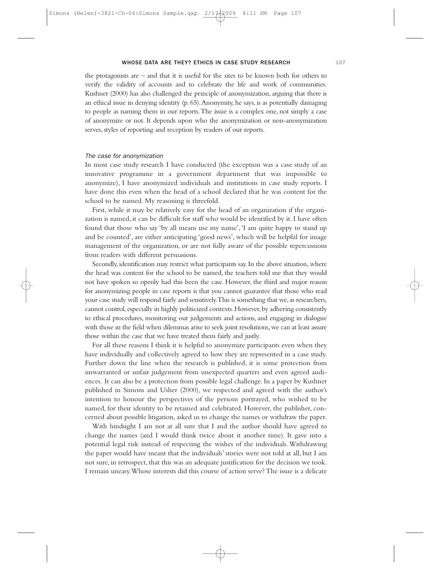the protagonists are – and that it is useful for the sites to be known both for others to verify the validity of accounts and to celebrate the life and work of communities. Kushner (2000) has also challenged the principle of anonymization, arguing that there is an ethical issue in denying identity (p. 65).Anonymity, he says, is as potentially damaging to people as naming them in our reports.The issue is a complex one, not simply a case of anonymize or not. It depends upon who the anonymization or non-anonymization serves, styles of reporting and reception by readers of our reports.

#### The case for anonymization

In most case study research I have conducted (the exception was a case study of an innovative programme in a government department that was impossible to anonymize), I have anonymized individuals and institutions in case study reports. I have done this even when the head of a school declared that he was content for the school to be named. My reasoning is threefold.

First, while it may be relatively easy for the head of an organization if the organization is named, it can be difficult for staff who would be identified by it. I have often found that those who say 'by all means use my name','I am quite happy to stand up and be counted', are either anticipating 'good news', which will be helpful for image management of the organization, or are not fully aware of the possible repercussions from readers with different persuasions.

Secondly, identification may restrict what participants say. In the above situation, where the head was content for the school to be named, the teachers told me that they would not have spoken so openly had this been the case. However, the third and major reason for anonymizing people in case reports is that you cannot guarantee that those who read your case study will respond fairly and sensitively. This is something that we, as researchers, cannot control, especially in highly politicized contexts. However, by adhering consistently to ethical procedures, monitoring our judgements and actions, and engaging in dialogue with those in the field when dilemmas arise to seek joint resolutions, we can at least assure those within the case that we have treated them fairly and justly.

For all these reasons I think it is helpful to anonymize participants even when they have individually and collectively agreed to how they are represented in a case study. Further down the line when the research is published, it is some protection from unwarranted or unfair judgement from unexpected quarters and even agreed audiences. It can also be a protection from possible legal challenge. In a paper by Kushner published in Simons and Usher (2000), we respected and agreed with the author's intention to honour the perspectives of the persons portrayed, who wished to be named, for their identity to be retained and celebrated. However, the publisher, concerned about possible litigation, asked us to change the names or withdraw the paper.

With hindsight I am not at all sure that I and the author should have agreed to change the names (and I would think twice about it another time). It gave into a potential legal risk instead of respecting the wishes of the individuals. Withdrawing the paper would have meant that the individuals' stories were not told at all, but I am not sure, in retrospect, that this was an adequate justification for the decision we took. I remain uneasy.Whose interests did this course of action serve? The issue is a delicate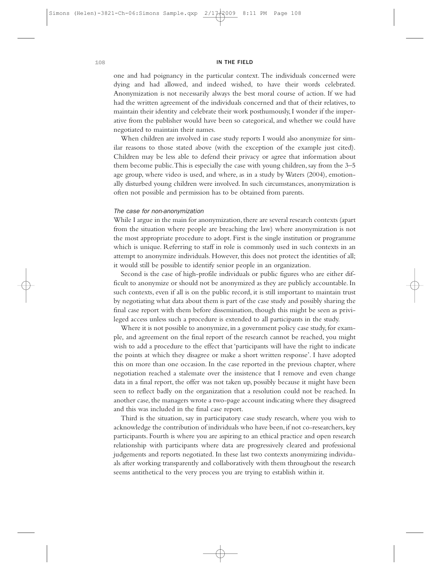one and had poignancy in the particular context. The individuals concerned were dying and had allowed, and indeed wished, to have their words celebrated. Anonymization is not necessarily always the best moral course of action. If we had had the written agreement of the individuals concerned and that of their relatives, to maintain their identity and celebrate their work posthumously, I wonder if the imperative from the publisher would have been so categorical, and whether we could have negotiated to maintain their names.

When children are involved in case study reports I would also anonymize for similar reasons to those stated above (with the exception of the example just cited). Children may be less able to defend their privacy or agree that information about them become public.This is especially the case with young children, say from the 3–5 age group, where video is used, and where, as in a study by Waters (2004), emotionally disturbed young children were involved. In such circumstances, anonymization is often not possible and permission has to be obtained from parents.

#### The case for non-anonymization

While I argue in the main for anonymization, there are several research contexts (apart from the situation where people are breaching the law) where anonymization is not the most appropriate procedure to adopt. First is the single institution or programme which is unique. Referring to staff in role is commonly used in such contexts in an attempt to anonymize individuals. However, this does not protect the identities of all; it would still be possible to identify senior people in an organization.

Second is the case of high-profile individuals or public figures who are either difficult to anonymize or should not be anonymized as they are publicly accountable. In such contexts, even if all is on the public record, it is still important to maintain trust by negotiating what data about them is part of the case study and possibly sharing the final case report with them before dissemination, though this might be seen as privileged access unless such a procedure is extended to all participants in the study.

Where it is not possible to anonymize, in a government policy case study, for example, and agreement on the final report of the research cannot be reached, you might wish to add a procedure to the effect that 'participants will have the right to indicate the points at which they disagree or make a short written response'. I have adopted this on more than one occasion. In the case reported in the previous chapter, where negotiation reached a stalemate over the insistence that I remove and even change data in a final report, the offer was not taken up, possibly because it might have been seen to reflect badly on the organization that a resolution could not be reached. In another case, the managers wrote a two-page account indicating where they disagreed and this was included in the final case report.

Third is the situation, say in participatory case study research, where you wish to acknowledge the contribution of individuals who have been, if not co-researchers, key participants. Fourth is where you are aspiring to an ethical practice and open research relationship with participants where data are progressively cleared and professional judgements and reports negotiated. In these last two contexts anonymizing individuals after working transparently and collaboratively with them throughout the research seems antithetical to the very process you are trying to establish within it.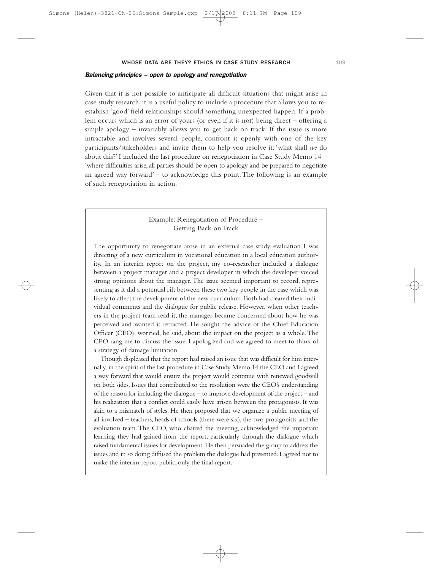#### Balancing principles – open to apology and renegotiation

Given that it is not possible to anticipate all difficult situations that might arise in case study research, it is a useful policy to include a procedure that allows you to reestablish 'good' field relationships should something unexpected happen. If a problem occurs which is an error of yours (or even if it is not) being direct – offering a simple apology – invariably allows you to get back on track. If the issue is more intractable and involves several people, confront it openly with one of the key participants/stakeholders and invite them to help you resolve it: 'what shall *we* do about this?' I included the last procedure on renegotiation in Case Study Memo 14 – 'where difficulties arise, all parties should be open to apology and be prepared to negotiate an agreed way forward' – to acknowledge this point.The following is an example of such renegotiation in action.

### Example: Renegotiation of Procedure – Getting Back on Track

The opportunity to renegotiate arose in an external case study evaluation I was directing of a new curriculum in vocational education in a local education authority. In an interim report on the project, my co-researcher included a dialogue between a project manager and a project developer in which the developer voiced strong opinions about the manager. The issue seemed important to record, representing as it did a potential rift between these two key people in the case which was likely to affect the development of the new curriculum. Both had cleared their individual comments and the dialogue for public release. However, when other teachers in the project team read it, the manager became concerned about how he was perceived and wanted it retracted. He sought the advice of the Chief Education Officer (CEO), worried, he said, about the impact on the project as a whole.The CEO rang me to discuss the issue. I apologized and we agreed to meet to think of a strategy of damage limitation.

Though displeased that the report had raised an issue that was difficult for him internally, in the spirit of the last procedure in Case Study Memo 14 the CEO and I agreed a way forward that would ensure the project would continue with renewed goodwill on both sides. Issues that contributed to the resolution were the CEO's understanding of the reason for including the dialogue – to improve development of the project – and his realization that a conflict could easily have arisen between the protagonists. It was akin to a mismatch of styles. He then proposed that we organize a public meeting of all involved – teachers, heads of schools (there were six), the two protagonists and the evaluation team. The CEO, who chaired the meeting, acknowledged the important learning they had gained from the report, particularly through the dialogue which raised fundamental issues for development.He then persuaded the group to address the issues and in so doing diffused the problem the dialogue had presented. I agreed not to make the interim report public, only the final report.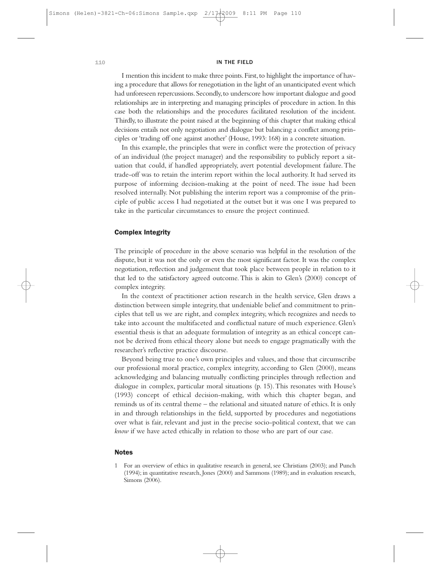I mention this incident to make three points.First,to highlight the importance of having a procedure that allows for renegotiation in the light of an unanticipated event which had unforeseen repercussions. Secondly, to underscore how important dialogue and good relationships are in interpreting and managing principles of procedure in action. In this case both the relationships and the procedures facilitated resolution of the incident. Thirdly, to illustrate the point raised at the beginning of this chapter that making ethical decisions entails not only negotiation and dialogue but balancing a conflict among principles or 'trading off one against another' (House, 1993: 168) in a concrete situation.

In this example, the principles that were in conflict were the protection of privacy of an individual (the project manager) and the responsibility to publicly report a situation that could, if handled appropriately, avert potential development failure. The trade-off was to retain the interim report within the local authority. It had served its purpose of informing decision-making at the point of need. The issue had been resolved internally. Not publishing the interim report was a compromise of the principle of public access I had negotiated at the outset but it was one I was prepared to take in the particular circumstances to ensure the project continued.

#### Complex Integrity

The principle of procedure in the above scenario was helpful in the resolution of the dispute, but it was not the only or even the most significant factor. It was the complex negotiation, reflection and judgement that took place between people in relation to it that led to the satisfactory agreed outcome. This is akin to Glen's (2000) concept of complex integrity.

In the context of practitioner action research in the health service, Glen draws a distinction between simple integrity, that undeniable belief and commitment to principles that tell us we are right, and complex integrity, which recognizes and needs to take into account the multifaceted and conflictual nature of much experience. Glen's essential thesis is that an adequate formulation of integrity as an ethical concept cannot be derived from ethical theory alone but needs to engage pragmatically with the researcher's reflective practice discourse.

Beyond being true to one's own principles and values, and those that circumscribe our professional moral practice, complex integrity, according to Glen (2000), means acknowledging and balancing mutually conflicting principles through reflection and dialogue in complex, particular moral situations (p. 15).This resonates with House's (1993) concept of ethical decision-making, with which this chapter began, and reminds us of its central theme – the relational and situated nature of ethics. It is only in and through relationships in the field, supported by procedures and negotiations over what is fair, relevant and just in the precise socio-political context, that we can *know* if we have acted ethically in relation to those who are part of our case.

#### Notes

<sup>1</sup> For an overview of ethics in qualitative research in general, see Christians (2003); and Punch (1994); in quantitative research, Jones (2000) and Sammons (1989); and in evaluation research, Simons (2006).